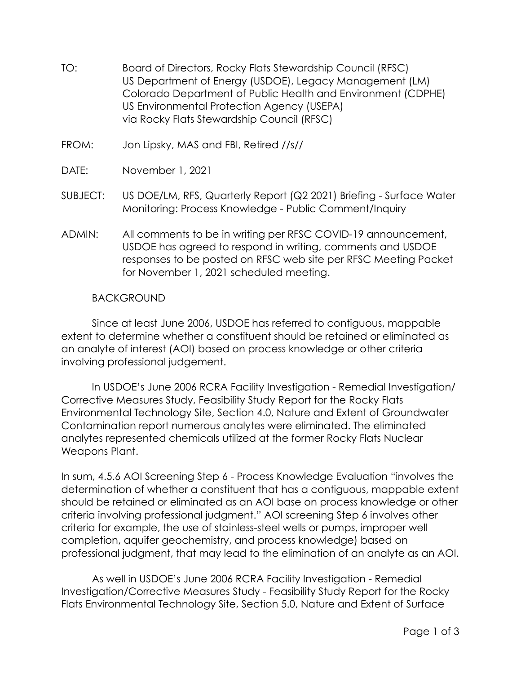- TO: Board of Directors, Rocky Flats Stewardship Council (RFSC) US Department of Energy (USDOE), Legacy Management (LM) Colorado Department of Public Health and Environment (CDPHE) US Environmental Protection Agency (USEPA) via Rocky Flats Stewardship Council (RFSC)
- FROM: Jon Lipsky, MAS and FBI, Retired //s//
- DATE: November 1, 2021
- SUBJECT: US DOE/LM, RFS, Quarterly Report (Q2 2021) Briefing Surface Water Monitoring: Process Knowledge - Public Comment/Inquiry
- ADMIN: All comments to be in writing per RFSC COVID-19 announcement, USDOE has agreed to respond in writing, comments and USDOE responses to be posted on RFSC web site per RFSC Meeting Packet for November 1, 2021 scheduled meeting.

## **BACKGROUND**

Since at least June 2006, USDOE has referred to contiguous, mappable extent to determine whether a constituent should be retained or eliminated as an analyte of interest (AOI) based on process knowledge or other criteria involving professional judgement.

In USDOE's June 2006 RCRA Facility Investigation - Remedial Investigation/ Corrective Measures Study, Feasibility Study Report for the Rocky Flats Environmental Technology Site, Section 4.0, Nature and Extent of Groundwater Contamination report numerous analytes were eliminated. The eliminated analytes represented chemicals utilized at the former Rocky Flats Nuclear Weapons Plant.

In sum, 4.5.6 AOI Screening Step 6 - Process Knowledge Evaluation "involves the determination of whether a constituent that has a contiguous, mappable extent should be retained or eliminated as an AOI base on process knowledge or other criteria involving professional judgment." AOI screening Step 6 involves other criteria for example, the use of stainless-steel wells or pumps, improper well completion, aquifer geochemistry, and process knowledge) based on professional judgment, that may lead to the elimination of an analyte as an AOI.

As well in USDOE's June 2006 RCRA Facility Investigation - Remedial Investigation/Corrective Measures Study - Feasibility Study Report for the Rocky Flats Environmental Technology Site, Section 5.0, Nature and Extent of Surface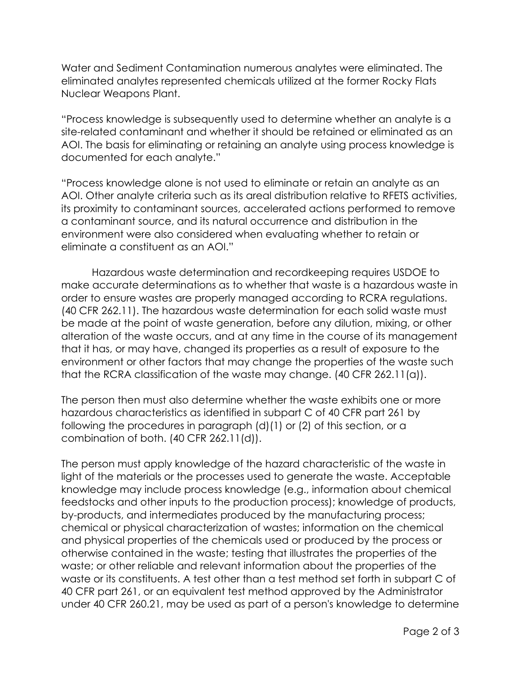Water and Sediment Contamination numerous analytes were eliminated. The eliminated analytes represented chemicals utilized at the former Rocky Flats Nuclear Weapons Plant.

"Process knowledge is subsequently used to determine whether an analyte is a site-related contaminant and whether it should be retained or eliminated as an AOI. The basis for eliminating or retaining an analyte using process knowledge is documented for each analyte."

"Process knowledge alone is not used to eliminate or retain an analyte as an AOI. Other analyte criteria such as its areal distribution relative to RFETS activities, its proximity to contaminant sources, accelerated actions performed to remove a contaminant source, and its natural occurrence and distribution in the environment were also considered when evaluating whether to retain or eliminate a constituent as an AOI."

Hazardous waste determination and recordkeeping requires USDOE to make accurate determinations as to whether that waste is a hazardous waste in order to ensure wastes are properly managed according to RCRA regulations. (40 CFR 262.11). The hazardous waste determination for each solid waste must be made at the point of waste generation, before any dilution, mixing, or other alteration of the waste occurs, and at any time in the course of its management that it has, or may have, changed its properties as a result of exposure to the environment or other factors that may change the properties of the waste such that the RCRA classification of the waste may change. (40 CFR 262.11(a)).

The person then must also determine whether the waste exhibits one or more hazardous characteristics as identified in subpart C of 40 CFR part 261 by following the procedures in paragraph (d)(1) or (2) of this section, or a combination of both. (40 CFR 262.11(d)).

The person must apply knowledge of the hazard characteristic of the waste in light of the materials or the processes used to generate the waste. Acceptable knowledge may include process knowledge (e.g., information about chemical feedstocks and other inputs to the production process); knowledge of products, by-products, and intermediates produced by the manufacturing process; chemical or physical characterization of wastes; information on the chemical and physical properties of the chemicals used or produced by the process or otherwise contained in the waste; testing that illustrates the properties of the waste; or other reliable and relevant information about the properties of the waste or its constituents. A test other than a test method set forth in subpart C of 40 CFR part 261, or an equivalent test method approved by the Administrator under 40 CFR 260.21, may be used as part of a person's knowledge to determine